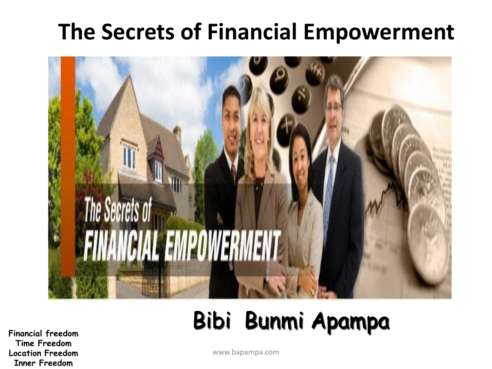### **The Secrets of Financial Empowerment**



## Bibi Bunmi Apampa

**Financial freedom Time Freedom Location Freedom Inner Freedom**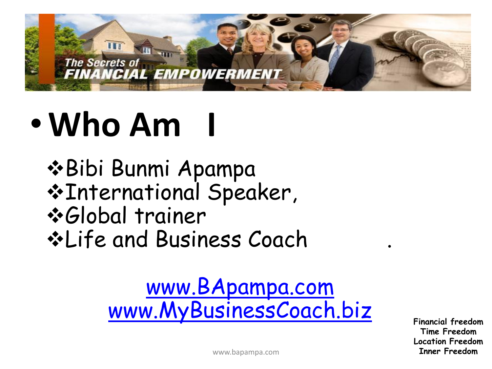

# •**Who Am I**

 $\triangle$ **Bibi Bunmi Apampa** International Speaker, Global trainer Life and Business Coach .

### [www.BApampa.com](http://www.bapampa.com/) [www.MyBusinessCoach.biz](http://www.mybusinesscoach.biz/)

**Financial freedom Time Freedom Location Freedom Inner Freedom**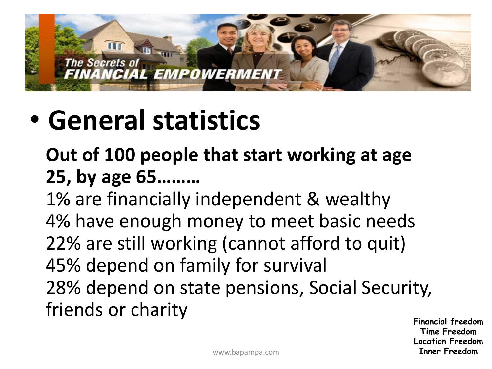

# • **General statistics**

### **Out of 100 people that start working at age 25, by age 65………**

1% are financially independent & wealthy 4% have enough money to meet basic needs 22% are still working (cannot afford to quit) 45% depend on family for survival 28% depend on state pensions, Social Security, friends or charity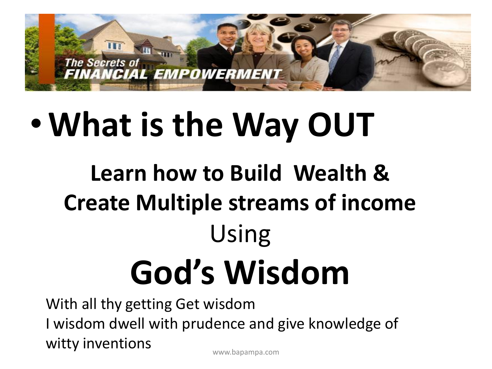

# •**What is the Way OUT**

# **Learn how to Build Wealth & Create Multiple streams of income** Using **God's Wisdom**

With all thy getting Get wisdom I wisdom dwell with prudence and give knowledge of witty inventions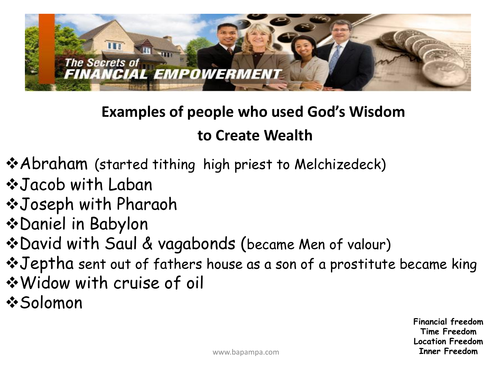

### **Examples of people who used God's Wisdom**

#### **to Create Wealth**

- Abraham (started tithing high priest to Melchizedeck)
- $\diamond$ **Jacob with Laban**
- Joseph with Pharaoh
- Daniel in Babylon
- David with Saul & vagabonds (became Men of valour)
- Jeptha sent out of fathers house as a son of a prostitute became king
- Widow with cruise of oil
- $\div$ **Solomon**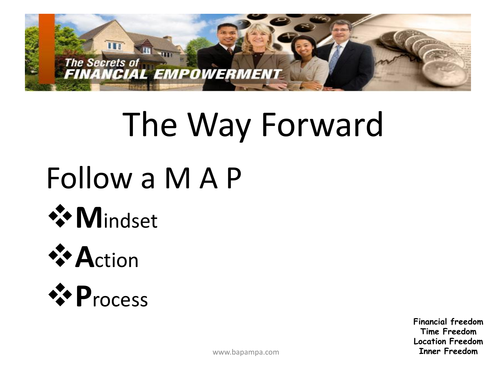

# The Way Forward

# Follow a M A P







**Financial freedom Time Freedom Location Freedom Inner Freedom**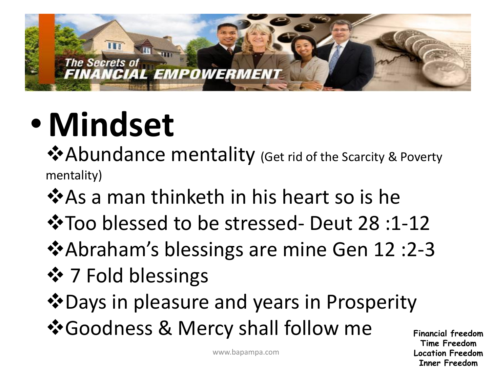

# • **Mindset**

Abundance mentality (Get rid of the Scarcity & Poverty mentality)

- ❖ As a man thinketh in his heart so is he
- Too blessed to be stressed- Deut 28 :1-12
- $\triangle$ **Abraham's blessings are mine Gen 12 :2-3**
- ❖ 7 Fold blessings
- Days in pleasure and years in Prosperity
- Goodness & Mercy shall follow me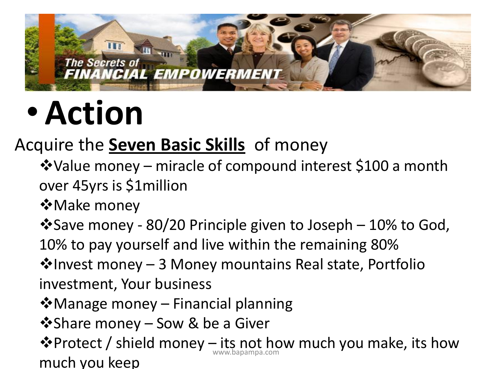

# •**Action**

### Acquire the **Seven Basic Skills** of money

- Value money miracle of compound interest \$100 a month over 45yrs is \$1million
- **☆Make money**
- $\cdot$ Save money 80/20 Principle given to Joseph 10% to God,
- 10% to pay yourself and live within the remaining 80%
- $\cdot$ Invest money 3 Money mountains Real state, Portfolio investment, Your business
- $\clubsuit$  Manage money Financial planning
- ❖ Share money Sow & be a Giver
- ❖ Protect / shield money its not how much you make, its how much you keep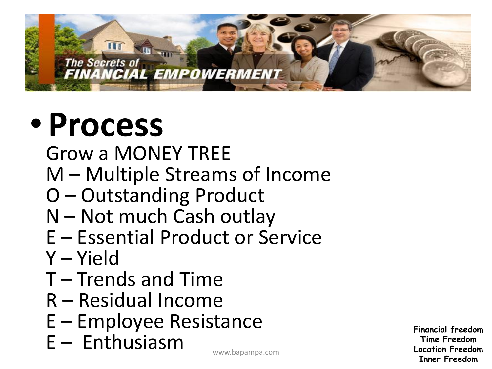#### The Secrets of **FINANCIAL EMPOWERMENT**

# • **Process**

**III** 

Grow a MONEY TREE

- M Multiple Streams of Income
- O Outstanding Product
- N Not much Cash outlay
- E Essential Product or Service
- Y Yield
- T Trends and Time
- R Residual Income
- E Employee Resistance
- E Enthusiasm www.bapampa.com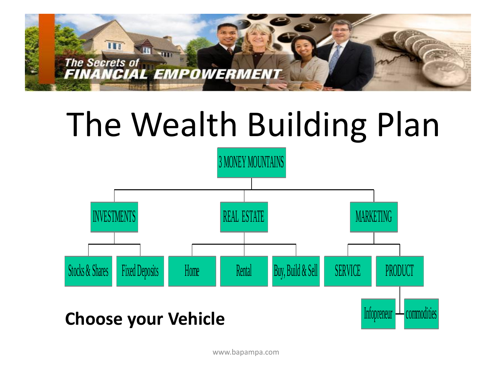

# The Wealth Building Plan

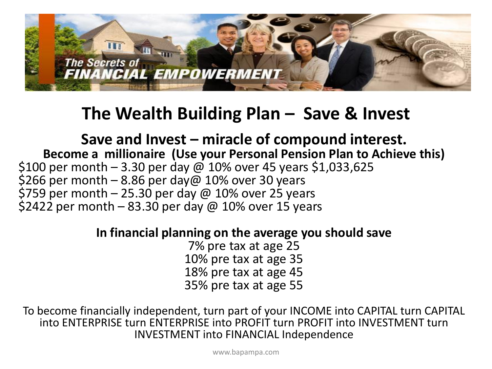

#### **The Wealth Building Plan – Save & Invest**

#### **Save and Invest – miracle of compound interest. Become a millionaire (Use your Personal Pension Plan to Achieve this)** \$100 per month  $-$  3.30 per day  $\omega$  10% over 45 years \$1,033,625 \$266 per month  $-8.86$  per day@ 10% over 30 years \$759 per month  $-$  25.30 per day  $\omega$  10% over 25 years \$2422 per month  $-83.30$  per day @ 10% over 15 years

#### **In financial planning on the average you should save**

7% pre tax at age 25 10% pre tax at age 35 18% pre tax at age 45 35% pre tax at age 55

To become financially independent, turn part of your INCOME into CAPITAL turn CAPITAL into ENTERPRISE turn ENTERPRISE into PROFIT turn PROFIT into INVESTMENT turn INVESTMENT into FINANCIAL Independence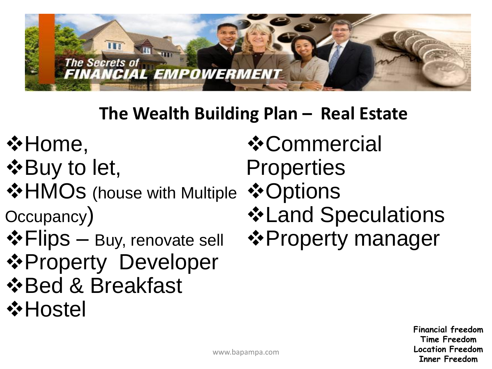

### **The Wealth Building Plan – Real Estate**

- **☆Home,**
- **☆Buy to let,**
- $\triangleleft$  **HMOs** (house with Multiple Occupancy)
- $\triangle$ **Flips** Buy, renovate sell **☆Property Developer**  $\triangle$  **Breakfast**
- **☆Hostel**

*❖* Commercial **Properties ☆Options ❖ Land Speculations**  $\triangle$  **Property manager**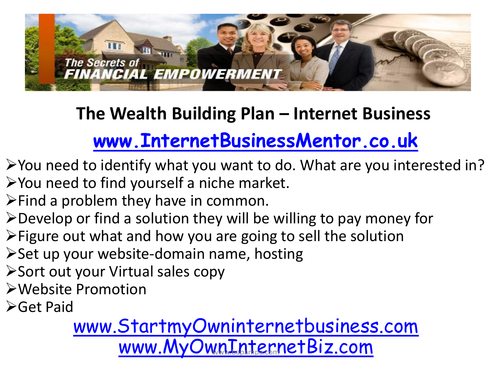

### **The Wealth Building Plan – Internet Business**

### **[www.InternetBusinessMentor.co.uk](http://www.internetbusinessmentor.co.uk/)**

- $\triangleright$  You need to identify what you want to do. What are you interested in?  $\triangleright$  You need to find yourself a niche market.
- $\triangleright$  Find a problem they have in common.
- Develop or find a solution they will be willing to pay money for
- Figure out what and how you are going to sell the solution
- $\triangleright$  Set up your website-domain name, hosting
- **≻Sort out your Virtual sales copy**
- Website Promotion
- **≻Get Paid**

[www.StartmyOwninternetbusiness.com](http://www.startmyowninternetbusiness.com/)  [www.MyOwnInternetBiz.com](http://www.myowninternetbiz.com/)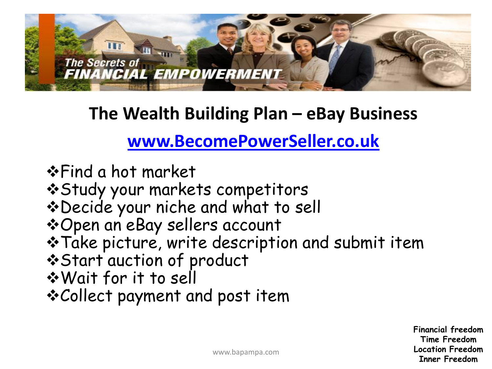

#### **The Wealth Building Plan – eBay Business**

#### **[www.BecomePowerSeller.co.uk](http://www.becomepowerseller.co.uk/)**

- **\*Find a hot market**
- Study your markets competitors
- \*Decide your niche and what to sell
- Open an eBay sellers account
- \* Take picture, write description and submit item
- Start auction of product
- Wait for it to sell
- Collect payment and post item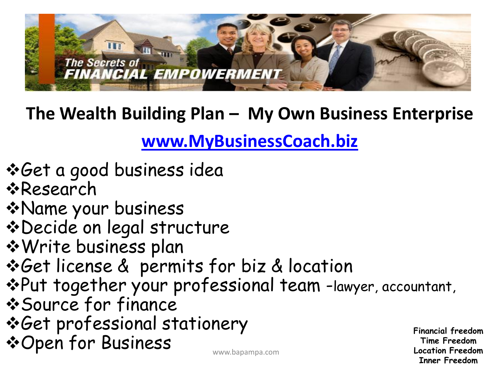

**The Wealth Building Plan – My Own Business Enterprise** 

**[www.MyBusinessCoach.biz](http://www.mybusinesscoach.biz/)**

- Get a good business idea
- **\*Research**
- Name your business
- Decide on legal structure
- Write business plan
- Get license & permits for biz & location
- Put together your professional team -lawyer, accountant,
- Source for finance
- Get professional stationery
- **\* Open for Business** www.bapampa.com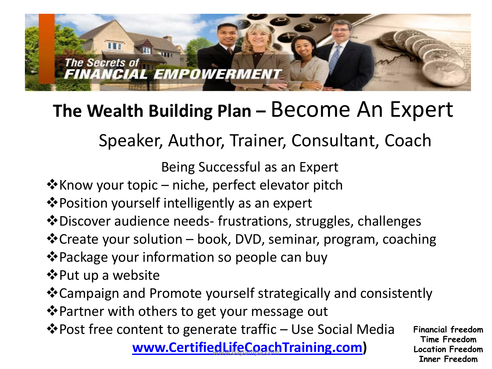

### **The Wealth Building Plan –** Become An Expert

### Speaker, Author, Trainer, Consultant, Coach

Being Successful as an Expert

- \* Know your topic niche, perfect elevator pitch
- **\*** Position yourself intelligently as an expert
- Discover audience needs- frustrations, struggles, challenges
- Create your solution book, DVD, seminar, program, coaching
- **\*** Package your information so people can buy
- $\diamondsuit$ **Put up a website**
- Campaign and Promote yourself strategically and consistently
- **V** Partner with others to get your message out
- Post free content to generate traffic Use Social Media

**[www.CertifiedLifeCoachTraining.com](http://www.certifiedlifecoachtraining.com/)**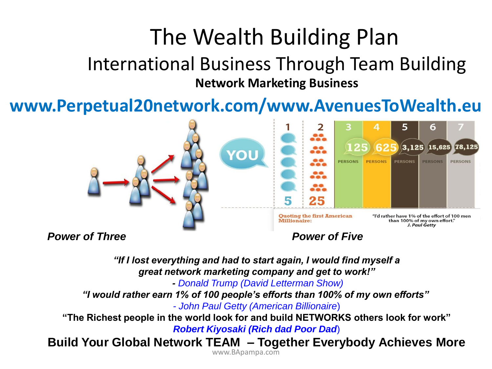## The Wealth Building Plan

#### International Business Through Team Building **Network Marketing Business**

#### **www.Perpetual20network.com/www.AvenuesToWealth.eu**



**Power of Three Power of Five** 

*"If I lost everything and had to start again, I would find myself a great network marketing company and get to work!"*

*- Donald Trump (David Letterman Show)*

*"I would rather earn 1% of 100 people's efforts than 100% of my own efforts"*

*- John Paul Getty (American Billionaire*)

**"The Richest people in the world look for and build NETWORKS others look for work"** *Robert Kiyosaki (Rich dad Poor Dad*)

**Build Your Global Network TEAM – Together Everybody Achieves More**

www.BApampa.com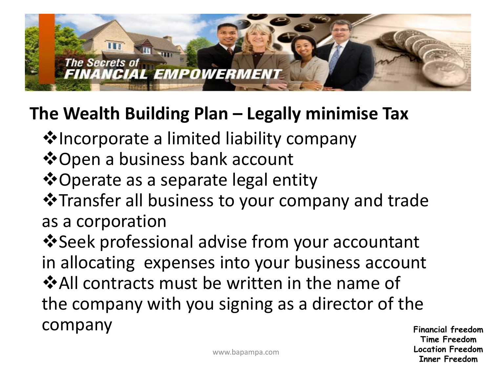### **Tn The Secrets of FINANCIAL EMPOWERMENT**

### **The Wealth Building Plan – Legally minimise Tax**

- **V** Incorporate a limited liability company
- $\dots$  **⊙ Den a business bank account**
- $\dots$  Operate as a separate legal entity
- Transfer all business to your company and trade as a corporation

 $\bullet$  **Seek professional advise from your accountant** in allocating expenses into your business account  $\dots$ All contracts must be written in the name of the company with you signing as a director of the company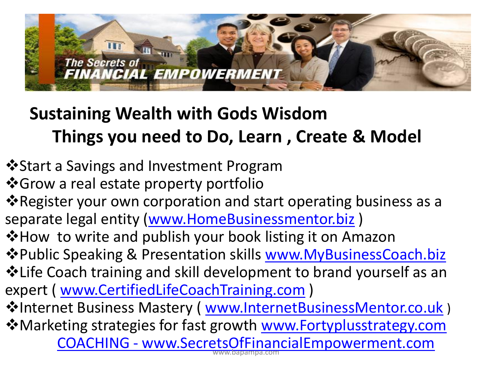

### **Sustaining Wealth with Gods Wisdom Things you need to Do, Learn , Create & Model**

- $\dots$  Start a Savings and Investment Program
- ❖ Grow a real estate property portfolio
- **Example 7 Figure 3 Figure 10 Properation 4 Figure 2 Figure 1** Figure 2 Figure 2 Figure 2 Figure 3 Figure 3 Figure 3 Figure 3 Figure 3 Figure 3 Figure 3 Figure 3 Figure 3 Figure 3 Figure 3 Figure 3 Figure 3 Figure 3 Figur separate legal entity ([www.HomeBusinessmentor.biz](http://www.homebusinessmentor.biz/))
- ❖ How to write and publish your book listing it on Amazon
- ◆Public Speaking & Presentation skills [www.MyBusinessCoach.biz](http://www.mybusinesscoach.biz/) Life Coach training and skill development to brand yourself as an expert ( [www.CertifiedLifeCoachTraining.com](http://www.certifiedlifecoachtraining.com/) )
- ☆Internet Business Mastery ( [www.InternetBusinessMentor.co.uk](http://www.internetbusinessmentor.co.uk/) )
- Marketing strateg[ie](http://www.secretsoffinancialempowerment.com/)s for fast growth [www.Fortyplusstrategy.com](http://www.fortyplusstrategy.com/) [COACHING -](http://www.secretsoffinancialempowerment.com/) [www.SecretsOfFinancialEmpowerment.com](http://www.secretsoffinancialempowerment.com/)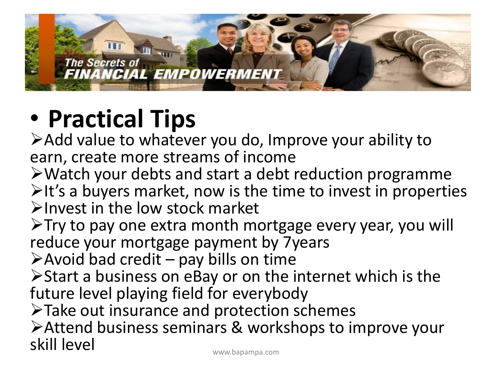

# • **Practical Tips**

Add value to whatever you do, Improve your ability to earn, create more streams of income

Watch your debts and start a debt reduction programme  $\triangleright$ It's a buyers market, now is the time to invest in properties  $\blacktriangleright$  Invest in the low stock market

 $\triangleright$ Try to pay one extra month mortgage every year, you will reduce your mortgage payment by 7years

 $\triangleright$  Avoid bad credit – pay bills on time

Start a business on eBay or on the internet which is the future level playing field for everybody

Take out insurance and protection schemes

Attend business seminars & workshops to improve your skill level www.bapampa.com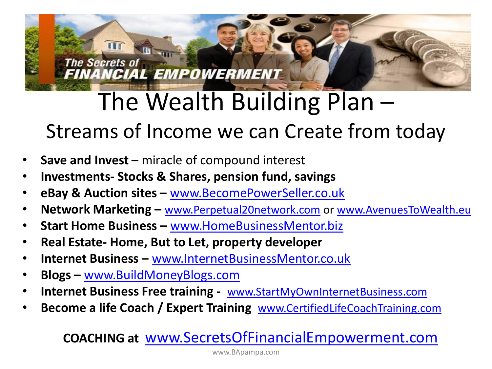## The Wealth Building Plan – Streams of Income we can Create from today

• **Save and Invest –** miracle of compound interest

**FINANCIAL EMPOWERMENT** 

- **Investments- Stocks & Shares, pension fund, savings**
- **eBay & Auction sites –** [www.BecomePowerSeller.co.uk](http://www.becomepowerseller.co.uk/)
- **Network Marketing –** [www.Perpetual20network.com](http://www.perpetual20network.com/) or [www.AvenuesToWealth.eu](http://www.avenuestowealth.eu/)
- **Start Home Business –** [www.HomeBusinessMentor.biz](http://www.homebusinessmentor.biz/)
- **Real Estate- Home, But to Let, property developer**
- **Internet Business –** [www.InternetBusinessMentor.co.uk](http://www.internetbusinessmentor.co.uk/)
- **Blogs –** [www.BuildMoneyBlogs.com](http://www.buildmoneyblogs.com/)

**TH** 

**The Secrets of** 

- **Internet Business Free training** [www.StartMyOwnInternetBusiness.com](http://www.startmyowninternetbusiness.com/)
- **Become a life Coach / Expert Training** [www.CertifiedLifeCoachTraining.com](http://www.certifiedlifecoachtraining.com/)

#### **COACHING at** [www.SecretsOfFinancialEmpowerment.com](http://www.secretsoffinancialempowerment.com/)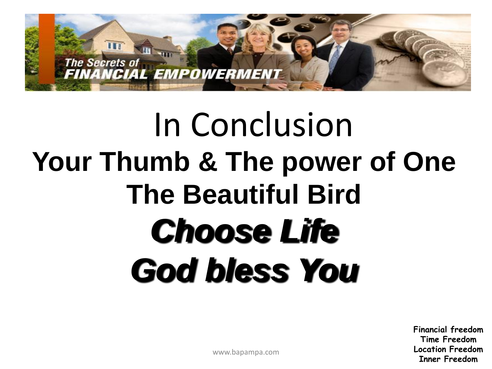

# In Conclusion **Your Thumb & The power of One The Beautiful Bird** *Choose Life God bless You*

**Financial freedom Time Freedom Location Freedom Inner Freedom**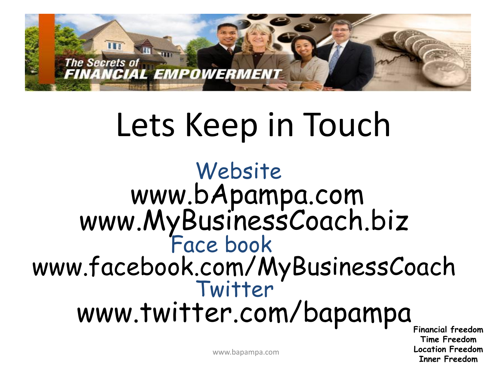

# Lets Keep in Touch

### Website www.bApampa.com www.MyBusinessCoach.biz Face book www.facebook.com/MyBusinessCoach Twitter www.twitter.com/bapampa

**Financial freedom Time Freedom Location Freedom Inner Freedom**